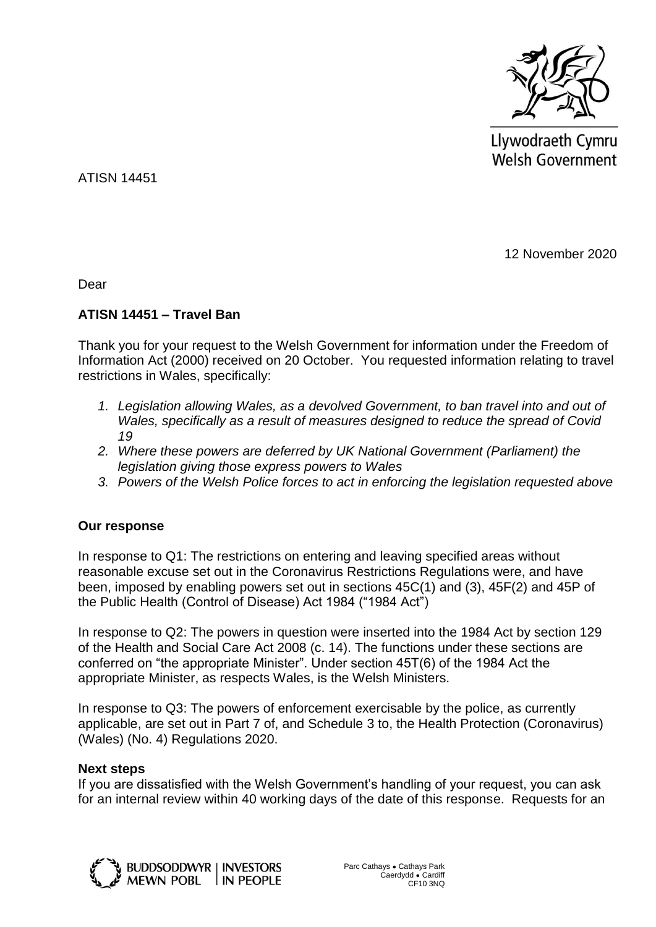

Llywodraeth Cymru Welsh Government

ATISN 14451

12 November 2020

Dear

## **ATISN 14451 – Travel Ban**

Thank you for your request to the Welsh Government for information under the Freedom of Information Act (2000) received on 20 October. You requested information relating to travel restrictions in Wales, specifically:

- *1. Legislation allowing Wales, as a devolved Government, to ban travel into and out of Wales, specifically as a result of measures designed to reduce the spread of Covid 19*
- *2. Where these powers are deferred by UK National Government (Parliament) the legislation giving those express powers to Wales*
- *3. Powers of the Welsh Police forces to act in enforcing the legislation requested above*

## **Our response**

In response to Q1: The restrictions on entering and leaving specified areas without reasonable excuse set out in the Coronavirus Restrictions Regulations were, and have been, imposed by enabling powers set out in sections 45C(1) and (3), 45F(2) and 45P of the Public Health (Control of Disease) Act 1984 ("1984 Act")

In response to Q2: The powers in question were inserted into the 1984 Act by section 129 of the Health and Social Care Act 2008 (c. 14). The functions under these sections are conferred on "the appropriate Minister". Under section 45T(6) of the 1984 Act the appropriate Minister, as respects Wales, is the Welsh Ministers.

In response to Q3: The powers of enforcement exercisable by the police, as currently applicable, are set out in Part 7 of, and Schedule 3 to, the Health Protection (Coronavirus) (Wales) (No. 4) Regulations 2020.

## **Next steps**

If you are dissatisfied with the Welsh Government's handling of your request, you can ask for an internal review within 40 working days of the date of this response. Requests for an



**BUDDSODDWYR | INVESTORS MEWN POBL IN PEOPLE**